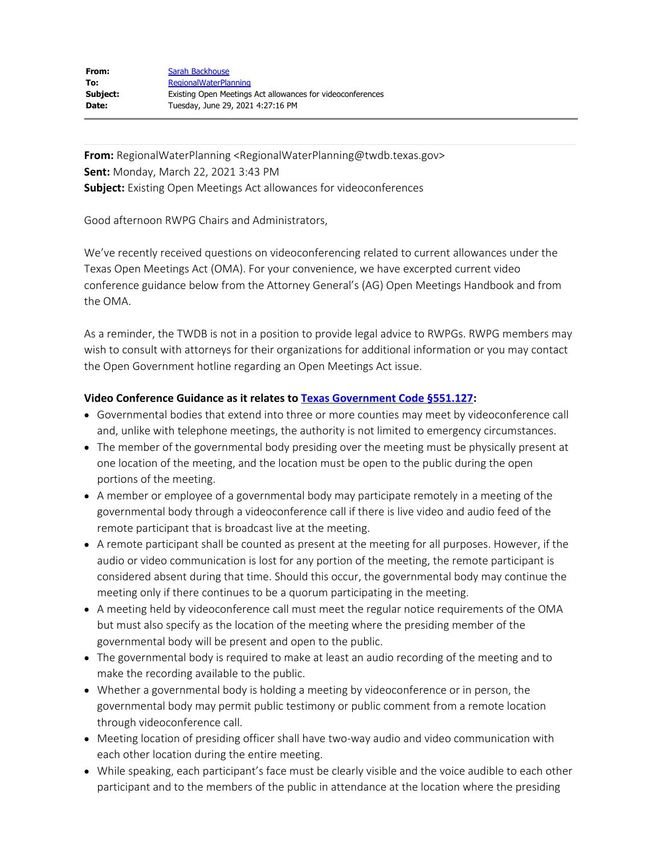**From:** RegionalWaterPlanning <RegionalWaterPlanning@twdb.texas.gov> **Sent:** Monday, March 22, 2021 3:43 PM **Subject:** Existing Open Meetings Act allowances for videoconferences

Good afternoon RWPG Chairs and Administrators,

We've recently received questions on videoconferencing related to current allowances under the Texas Open Meetings Act (OMA). For your convenience, we have excerpted current video conference guidance below from the Attorney General's (AG) Open Meetings Handbook and from the OMA.

As a reminder, the TWDB is not in a position to provide legal advice to RWPGs. RWPG members may wish to consult with attorneys for their organizations for additional information or you may contact the Open Government hotline regarding an Open Meetings Act issue.

## **Video Conference Guidance as it relates to [Texas Government Code §551.127](https://statutes.capitol.texas.gov/Docs/GV/htm/GV.551.htm):**

- Governmental bodies that extend into three or more counties may meet by videoconference call and, unlike with telephone meetings, the authority is not limited to emergency circumstances.
- The member of the governmental body presiding over the meeting must be physically present at one location of the meeting, and the location must be open to the public during the open portions of the meeting.
- A member or employee of a governmental body may participate remotely in a meeting of the governmental body through a videoconference call if there is live video and audio feed of the remote participant that is broadcast live at the meeting.
- A remote participant shall be counted as present at the meeting for all purposes. However, if the audio or video communication is lost for any portion of the meeting, the remote participant is considered absent during that time. Should this occur, the governmental body may continue the meeting only if there continues to be a quorum participating in the meeting.
- A meeting held by videoconference call must meet the regular notice requirements of the OMA but must also specify as the location of the meeting where the presiding member of the governmental body will be present and open to the public.
- The governmental body is required to make at least an audio recording of the meeting and to make the recording available to the public.
- Whether a governmental body is holding a meeting by videoconference or in person, the governmental body may permit public testimony or public comment from a remote location through videoconference call.
- Meeting location of presiding officer shall have two-way audio and video communication with each other location during the entire meeting.
- While speaking, each participant's face must be clearly visible and the voice audible to each other participant and to the members of the public in attendance at the location where the presiding